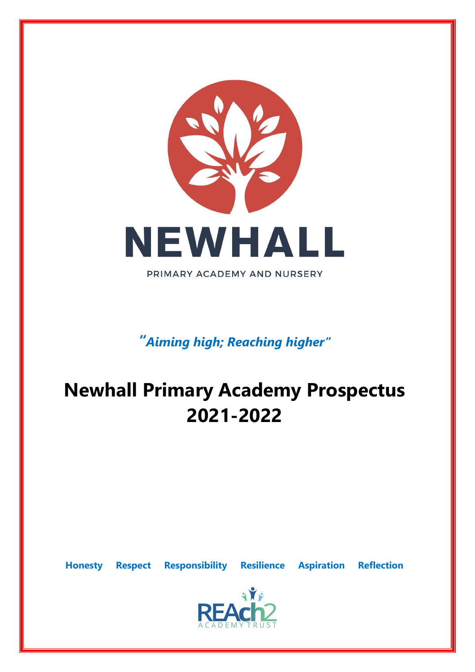

*"Aiming high; Reaching higher"*

# **Newhall Primary Academy Prospectus 2021-2022**

**Honesty Respect Responsibility Resilience Aspiration Reflection**

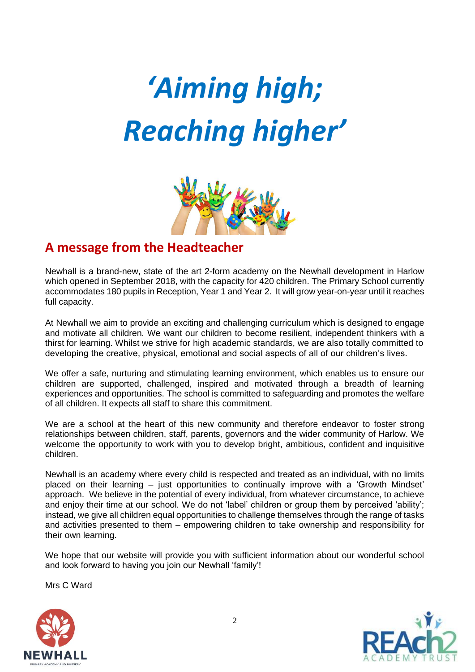



#### **A message from the Headteacher**

Newhall is a brand-new, state of the art 2-form academy on the Newhall development in Harlow which opened in September 2018, with the capacity for 420 children. The Primary School currently accommodates 180 pupils in Reception, Year 1 and Year 2. It will grow year-on-year until it reaches full capacity.

At Newhall we aim to provide an exciting and challenging curriculum which is designed to engage and motivate all children. We want our children to become resilient, independent thinkers with a thirst for learning. Whilst we strive for high academic standards, we are also totally committed to developing the creative, physical, emotional and social aspects of all of our children's lives.

We offer a safe, nurturing and stimulating learning environment, which enables us to ensure our children are supported, challenged, inspired and motivated through a breadth of learning experiences and opportunities. The school is committed to safeguarding and promotes the welfare of all children. It expects all staff to share this commitment.

We are a school at the heart of this new community and therefore endeavor to foster strong relationships between children, staff, parents, governors and the wider community of Harlow. We welcome the opportunity to work with you to develop bright, ambitious, confident and inquisitive children.

Newhall is an academy where every child is respected and treated as an individual, with no limits placed on their learning – just opportunities to continually improve with a 'Growth Mindset' approach. We believe in the potential of every individual, from whatever circumstance, to achieve and enjoy their time at our school. We do not 'label' children or group them by perceived 'ability'; instead, we give all children equal opportunities to challenge themselves through the range of tasks and activities presented to them – empowering children to take ownership and responsibility for their own learning.

We hope that our website will provide you with sufficient information about our wonderful school and look forward to having you join our Newhall 'family'!

Mrs C Ward



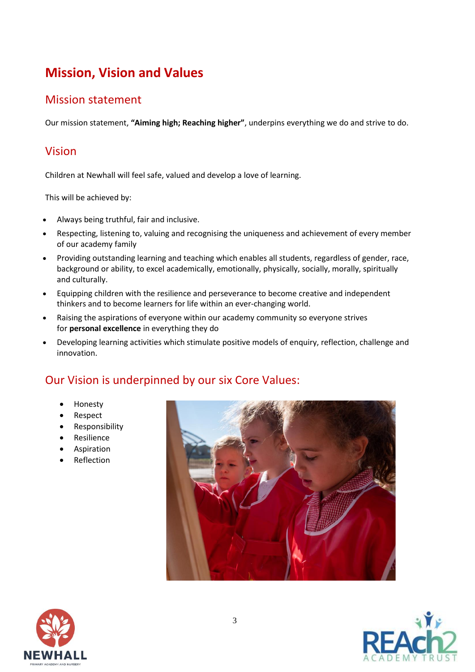## **Mission, Vision and Values**

#### Mission statement

Our mission statement, **"Aiming high; Reaching higher"**, underpins everything we do and strive to do.

#### Vision

Children at Newhall will feel safe, valued and develop a love of learning.

This will be achieved by:

- Always being truthful, fair and inclusive.
- Respecting, listening to, valuing and recognising the uniqueness and achievement of every member of our academy family
- Providing outstanding learning and teaching which enables all students, regardless of gender, race, background or ability, to excel academically, emotionally, physically, socially, morally, spiritually and culturally.
- Equipping children with the resilience and perseverance to become creative and independent thinkers and to become learners for life within an ever-changing world.
- Raising the aspirations of everyone within our academy community so everyone strives for **personal excellence** in everything they do
- Developing learning activities which stimulate positive models of enquiry, reflection, challenge and innovation.

### Our Vision is underpinned by our six Core Values:

- Honesty
- Respect
- Responsibility
- Resilience
- Aspiration
- Reflection





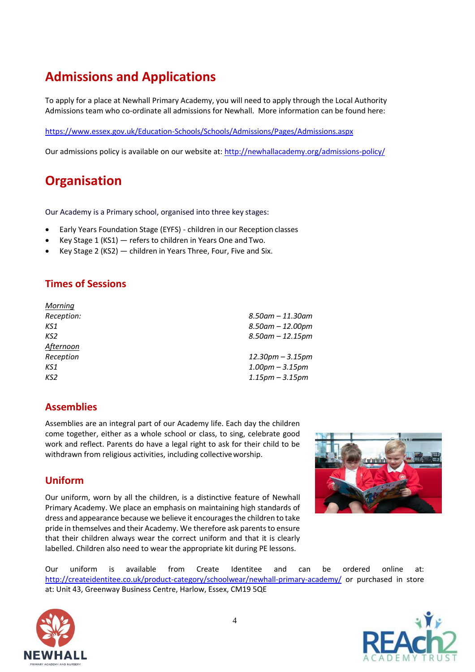## **Admissions and Applications**

To apply for a place at Newhall Primary Academy, you will need to apply through the Local Authority Admissions team who co-ordinate all admissions for Newhall. More information can be found here:

<https://www.essex.gov.uk/Education-Schools/Schools/Admissions/Pages/Admissions.aspx>

Our admissions policy is available on our website at: <http://newhallacademy.org/admissions-policy/>

## **Organisation**

Our Academy is a Primary school, organised into three key stages:

- Early Years Foundation Stage (EYFS) children in our Reception classes
- Key Stage 1 (KS1) refers to children in Years One and Two.
- Key Stage 2 (KS2)  $-$  children in Years Three, Four, Five and Six.

#### **Times of Sessions**

| $8.50$ am – 11.30am    |
|------------------------|
| $8.50$ am – 12.00pm    |
| $8.50$ am $- 12.15$ pm |
|                        |
| $12.30$ pm – 3.15pm    |
| $1.00$ pm $- 3.15$ pm  |
| $1.15$ pm – $3.15$ pm  |
|                        |

#### **Assemblies**

Assemblies are an integral part of our Academy life. Each day the children come together, either as a whole school or class, to sing, celebrate good work and reflect. Parents do have a legal right to ask for their child to be withdrawn from religious activities, including collective worship.

#### **Uniform**

Our uniform, worn by all the children, is a distinctive feature of Newhall Primary Academy. We place an emphasis on maintaining high standards of dress and appearance because we believe it encourages the children to take pride in themselves and their Academy. We therefore ask parents to ensure that their children always wear the correct uniform and that it is clearly labelled. Children also need to wear the appropriate kit during PE lessons.



Our uniform is available from Create Identitee and can be ordered online at: <http://createidentitee.co.uk/product-category/schoolwear/newhall-primary-academy/> or purchased in store at: Unit 43, Greenway Business Centre, Harlow, Essex, CM19 5QE



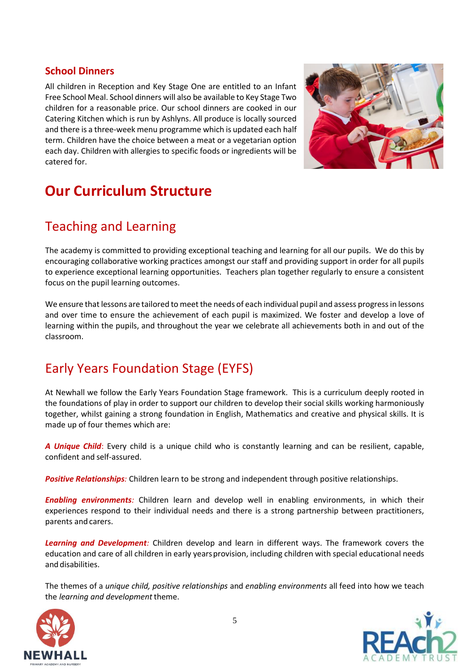#### **School Dinners**

All children in Reception and Key Stage One are entitled to an Infant Free School Meal. School dinners will also be available to Key Stage Two children for a reasonable price. Our school dinners are cooked in our Catering Kitchen which is run by Ashlyns. All produce is locally sourced and there is a three-week menu programme which is updated each half term. Children have the choice between a meat or a vegetarian option each day. Children with allergies to specific foods or ingredients will be catered for.



# **Our Curriculum Structure**

## Teaching and Learning

The academy is committed to providing exceptional teaching and learning for all our pupils. We do this by encouraging collaborative working practices amongst our staff and providing support in order for all pupils to experience exceptional learning opportunities. Teachers plan together regularly to ensure a consistent focus on the pupil learning outcomes.

We ensure that lessons are tailored to meet the needs of each individual pupil and assess progress in lessons and over time to ensure the achievement of each pupil is maximized. We foster and develop a love of learning within the pupils, and throughout the year we celebrate all achievements both in and out of the classroom.

## Early Years Foundation Stage (EYFS)

At Newhall we follow the Early Years Foundation Stage framework. This is a curriculum deeply rooted in the foundations of play in order to support our children to develop their social skills working harmoniously together, whilst gaining a strong foundation in English, Mathematics and creative and physical skills. It is made up of four themes which are:

*A Unique Child*: Every child is a unique child who is constantly learning and can be resilient, capable, confident and self-assured.

*Positive Relationships:* Children learn to be strong and independent through positive relationships.

*Enabling environments:* Children learn and develop well in enabling environments, in which their experiences respond to their individual needs and there is a strong partnership between practitioners, parents and carers.

*Learning and Development:* Children develop and learn in different ways. The framework covers the education and care of all children in early years provision, including children with special educational needs and disabilities.

The themes of a *unique child, positive relationships* and *enabling environments* all feed into how we teach the *learning and development* theme.



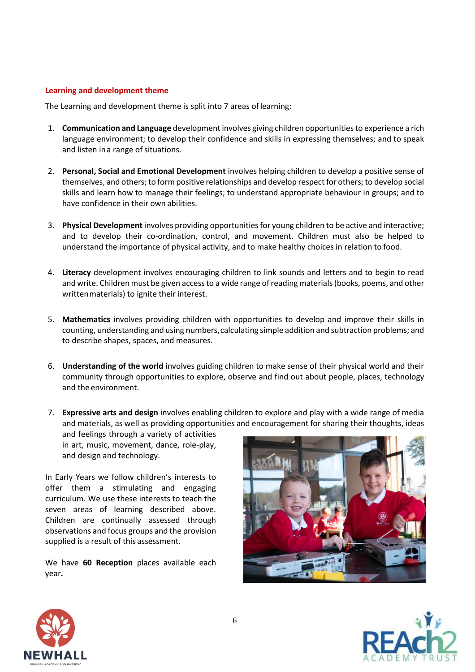#### **Learning and development theme**

The Learning and development theme is split into 7 areas of learning:

- 1. **Communication and Language** developmentinvolves giving children opportunities to experience a rich language environment; to develop their confidence and skills in expressing themselves; and to speak and listen ina range of situations.
- 2. **Personal, Social and Emotional Development** involves helping children to develop a positive sense of themselves, and others; to form positive relationships and develop respect for others; to develop social skills and learn how to manage their feelings; to understand appropriate behaviour in groups; and to have confidence in their own abilities.
- 3. **Physical Development** involves providing opportunities for young children to be active and interactive; and to develop their co-ordination, control, and movement. Children must also be helped to understand the importance of physical activity, and to make healthy choices in relation to food.
- 4. **Literacy** development involves encouraging children to link sounds and letters and to begin to read and write. Children must be given access to a wide range of reading materials (books, poems, and other writtenmaterials) to ignite their interest.
- 5. **Mathematics** involves providing children with opportunities to develop and improve their skills in counting, understanding and using numbers,calculating simple addition and subtraction problems; and to describe shapes, spaces, and measures.
- 6. **Understanding of the world** involves guiding children to make sense of their physical world and their community through opportunities to explore, observe and find out about people, places, technology and the environment.
- 7. **Expressive arts and design** involves enabling children to explore and play with a wide range of media and materials, as well as providing opportunities and encouragement for sharing their thoughts, ideas

and feelings through a variety of activities in art, music, movement, dance, role-play, and design and technology.

In Early Years we follow children's interests to offer them a stimulating and engaging curriculum. We use these interests to teach the seven areas of learning described above. Children are continually assessed through observations and focus groups and the provision supplied is a result of this assessment.

We have **60 Reception** places available each year**.**





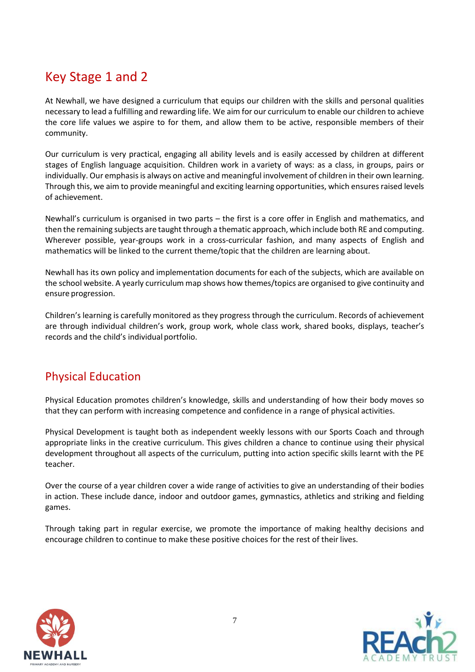## Key Stage 1 and 2

At Newhall, we have designed a curriculum that equips our children with the skills and personal qualities necessary to lead a fulfilling and rewarding life. We aim for our curriculum to enable our children to achieve the core life values we aspire to for them, and allow them to be active, responsible members of their community.

Our curriculum is very practical, engaging all ability levels and is easily accessed by children at different stages of English language acquisition. Children work in a variety of ways: as a class, in groups, pairs or individually. Our emphasis is always on active and meaningful involvement of children in their own learning. Through this, we aim to provide meaningful and exciting learning opportunities, which ensures raised levels of achievement.

Newhall's curriculum is organised in two parts – the first is a core offer in English and mathematics, and then the remaining subjects are taught through a thematic approach, which include both RE and computing. Wherever possible, year-groups work in a cross-curricular fashion, and many aspects of English and mathematics will be linked to the current theme/topic that the children are learning about.

Newhall has its own policy and implementation documents for each of the subjects, which are available on the school website. A yearly curriculum map shows how themes/topics are organised to give continuity and ensure progression.

Children's learning is carefully monitored as they progress through the curriculum. Records of achievement are through individual children's work, group work, whole class work, shared books, displays, teacher's records and the child's individual portfolio.

### Physical Education

Physical Education promotes children's knowledge, skills and understanding of how their body moves so that they can perform with increasing competence and confidence in a range of physical activities.

Physical Development is taught both as independent weekly lessons with our Sports Coach and through appropriate links in the creative curriculum. This gives children a chance to continue using their physical development throughout all aspects of the curriculum, putting into action specific skills learnt with the PE teacher.

Over the course of a year children cover a wide range of activities to give an understanding of their bodies in action. These include dance, indoor and outdoor games, gymnastics, athletics and striking and fielding games.

Through taking part in regular exercise, we promote the importance of making healthy decisions and encourage children to continue to make these positive choices for the rest of their lives.



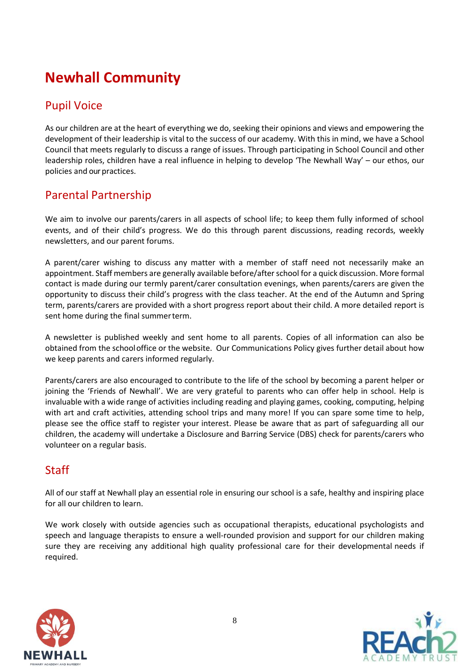# **Newhall Community**

#### Pupil Voice

As our children are at the heart of everything we do, seeking their opinions and views and empowering the development of their leadership is vital to the success of our academy. With this in mind, we have a School Council that meets regularly to discuss a range of issues. Through participating in School Council and other leadership roles, children have a real influence in helping to develop 'The Newhall Way' – our ethos, our policies and our practices.

#### Parental Partnership

We aim to involve our parents/carers in all aspects of school life; to keep them fully informed of school events, and of their child's progress. We do this through parent discussions, reading records, weekly newsletters, and our parent forums.

A parent/carer wishing to discuss any matter with a member of staff need not necessarily make an appointment. Staff members are generally available before/after school for a quick discussion. More formal contact is made during our termly parent/carer consultation evenings, when parents/carers are given the opportunity to discuss their child's progress with the class teacher. At the end of the Autumn and Spring term, parents/carers are provided with a short progress report about their child. A more detailed report is sent home during the final summerterm.

A newsletter is published weekly and sent home to all parents. Copies of all information can also be obtained from the schooloffice or the website. Our Communications Policy gives further detail about how we keep parents and carers informed regularly.

Parents/carers are also encouraged to contribute to the life of the school by becoming a parent helper or joining the 'Friends of Newhall'. We are very grateful to parents who can offer help in school. Help is invaluable with a wide range of activities including reading and playing games, cooking, computing, helping with art and craft activities, attending school trips and many more! If you can spare some time to help, please see the office staff to register your interest. Please be aware that as part of safeguarding all our children, the academy will undertake a Disclosure and Barring Service (DBS) check for parents/carers who volunteer on a regular basis.

#### Staff

All of our staff at Newhall play an essential role in ensuring our school is a safe, healthy and inspiring place for all our children to learn.

We work closely with outside agencies such as occupational therapists, educational psychologists and speech and language therapists to ensure a well-rounded provision and support for our children making sure they are receiving any additional high quality professional care for their developmental needs if required.



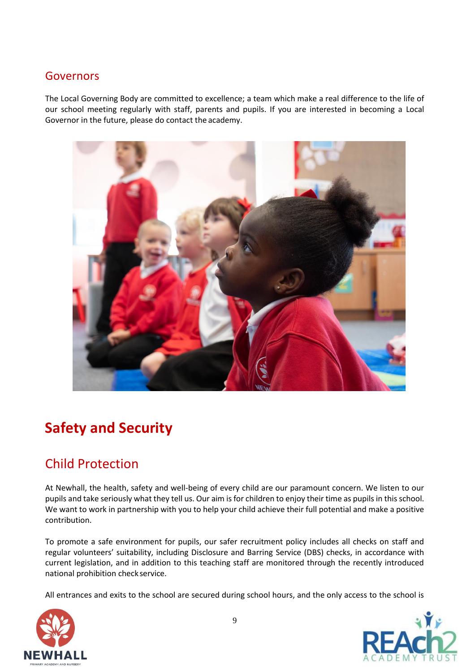#### Governors

The Local Governing Body are committed to excellence; a team which make a real difference to the life of our school meeting regularly with staff, parents and pupils. If you are interested in becoming a Local Governor in the future, please do contact the academy.



# **Safety and Security**

## Child Protection

At Newhall, the health, safety and well-being of every child are our paramount concern. We listen to our pupils and take seriously what they tell us. Our aim is for children to enjoy their time as pupils in this school. We want to work in partnership with you to help your child achieve their full potential and make a positive contribution.

To promote a safe environment for pupils, our safer recruitment policy includes all checks on staff and regular volunteers' suitability, including Disclosure and Barring Service (DBS) checks, in accordance with current legislation, and in addition to this teaching staff are monitored through the recently introduced national prohibition check service.

All entrances and exits to the school are secured during school hours, and the only access to the school is



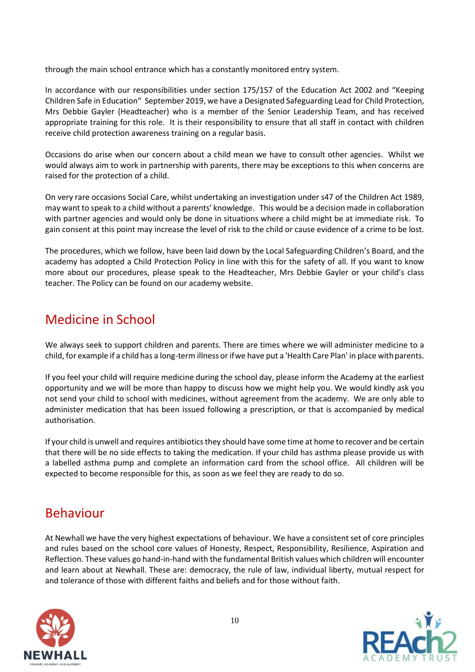through the main school entrance which has a constantly monitored entry system.

In accordance with our responsibilities under section 175/157 of the Education Act 2002 and "Keeping Children Safe in Education" September 2019, we have a Designated Safeguarding Lead for Child Protection, Mrs Debbie Gayler (Headteacher) who is a member of the Senior Leadership Team, and has received appropriate training for this role. It is their responsibility to ensure that all staff in contact with children receive child protection awareness training on a regular basis.

Occasions do arise when our concern about a child mean we have to consult other agencies. Whilst we would always aim to work in partnership with parents, there may be exceptions to this when concerns are raised for the protection of a child.

On very rare occasions Social Care, whilst undertaking an investigation under s47 of the Children Act 1989, may want to speak to a child without a parents' knowledge. This would be a decision made in collaboration with partner agencies and would only be done in situations where a child might be at immediate risk. To gain consent at this point may increase the level of risk to the child or cause evidence of a crime to be lost.

The procedures, which we follow, have been laid down by the Local Safeguarding Children's Board, and the academy has adopted a Child Protection Policy in line with this for the safety of all. If you want to know more about our procedures, please speak to the Headteacher, Mrs Debbie Gayler or your child's class teacher. The Policy can be found on our academy website.

## Medicine in School

We always seek to support children and parents. There are times where we will administer medicine to a child, for example if a child has a long-term illness or ifwe have put a 'Health Care Plan' in place withparents.

If you feel your child will require medicine during the school day, please inform the Academy at the earliest opportunity and we will be more than happy to discuss how we might help you. We would kindly ask you not send your child to school with medicines, without agreement from the academy. We are only able to administer medication that has been issued following a prescription, or that is accompanied by medical authorisation.

If your child is unwell and requires antibiotics they should have some time at home to recover and be certain that there will be no side effects to taking the medication. If your child has asthma please provide us with a labelled asthma pump and complete an information card from the school office. All children will be expected to become responsible for this, as soon as we feel they are ready to do so.

### Behaviour

At Newhall we have the very highest expectations of behaviour. We have a consistent set of core principles and rules based on the school core values of Honesty, Respect, Responsibility, Resilience, Aspiration and Reflection. These values go hand-in-hand with the fundamental British values which children will encounter and learn about at Newhall. These are: democracy, the rule of law, individual liberty, mutual respect for and tolerance of those with different faiths and beliefs and for those without faith.



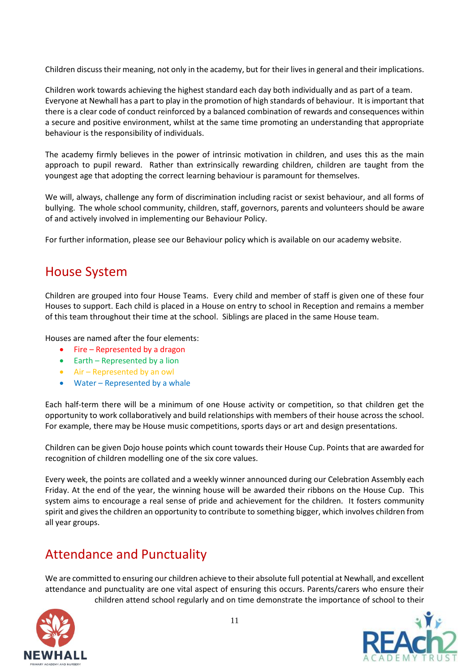Children discuss their meaning, not only in the academy, but for their lives in general and their implications.

Children work towards achieving the highest standard each day both individually and as part of a team. Everyone at Newhall has a part to play in the promotion of high standards of behaviour. It is important that there is a clear code of conduct reinforced by a balanced combination of rewards and consequences within a secure and positive environment, whilst at the same time promoting an understanding that appropriate behaviour is the responsibility of individuals.

The academy firmly believes in the power of intrinsic motivation in children, and uses this as the main approach to pupil reward. Rather than extrinsically rewarding children, children are taught from the youngest age that adopting the correct learning behaviour is paramount for themselves.

We will, always, challenge any form of discrimination including racist or sexist behaviour, and all forms of bullying. The whole school community, children, staff, governors, parents and volunteers should be aware of and actively involved in implementing our Behaviour Policy.

For further information, please see our Behaviour policy which is available on our academy website.

#### House System

Children are grouped into four House Teams. Every child and member of staff is given one of these four Houses to support. Each child is placed in a House on entry to school in Reception and remains a member of this team throughout their time at the school. Siblings are placed in the same House team.

Houses are named after the four elements:

- Fire Represented by a dragon
- Earth Represented by a lion
- Air Represented by an owl
- Water Represented by a whale

Each half-term there will be a minimum of one House activity or competition, so that children get the opportunity to work collaboratively and build relationships with members of their house across the school. For example, there may be House music competitions, sports days or art and design presentations.

Children can be given Dojo house points which count towards their House Cup. Points that are awarded for recognition of children modelling one of the six core values.

Every week, the points are collated and a weekly winner announced during our Celebration Assembly each Friday. At the end of the year, the winning house will be awarded their ribbons on the House Cup. This system aims to encourage a real sense of pride and achievement for the children. It fosters community spirit and gives the children an opportunity to contribute to something bigger, which involves children from all year groups.

### Attendance and Punctuality

We are committed to ensuring our children achieve to their absolute full potential at Newhall, and excellent attendance and punctuality are one vital aspect of ensuring this occurs. Parents/carers who ensure their children attend school regularly and on time demonstrate the importance of school to their

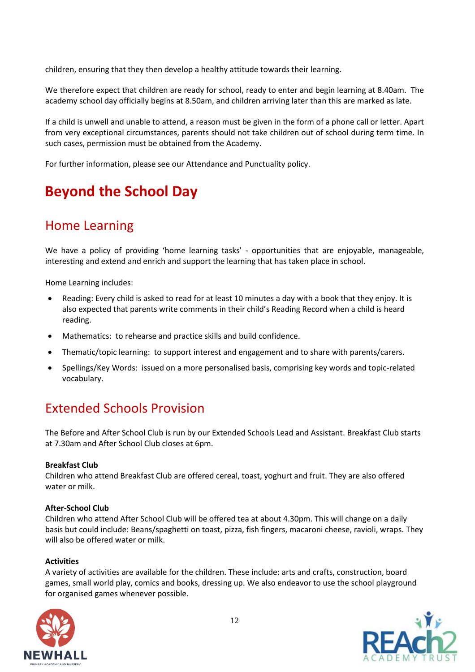children, ensuring that they then develop a healthy attitude towards their learning.

We therefore expect that children are ready for school, ready to enter and begin learning at 8.40am. The academy school day officially begins at 8.50am, and children arriving later than this are marked as late.

If a child is unwell and unable to attend, a reason must be given in the form of a phone call or letter. Apart from very exceptional circumstances, parents should not take children out of school during term time. In such cases, permission must be obtained from the Academy.

For further information, please see our Attendance and Punctuality policy.

## **Beyond the School Day**

## Home Learning

We have a policy of providing 'home learning tasks' - opportunities that are enjoyable, manageable, interesting and extend and enrich and support the learning that has taken place in school.

Home Learning includes:

- Reading: Every child is asked to read for at least 10 minutes a day with a book that they enjoy. It is also expected that parents write comments in their child's Reading Record when a child is heard reading.
- Mathematics: to rehearse and practice skills and build confidence.
- Thematic/topic learning: to support interest and engagement and to share with parents/carers.
- Spellings/Key Words: issued on a more personalised basis, comprising key words and topic-related vocabulary.

## Extended Schools Provision

The Before and After School Club is run by our Extended Schools Lead and Assistant. Breakfast Club starts at 7.30am and After School Club closes at 6pm.

#### **Breakfast Club**

Children who attend Breakfast Club are offered cereal, toast, yoghurt and fruit. They are also offered water or milk.

#### **After-School Club**

Children who attend After School Club will be offered tea at about 4.30pm. This will change on a daily basis but could include: Beans/spaghetti on toast, pizza, fish fingers, macaroni cheese, ravioli, wraps. They will also be offered water or milk.

#### **Activities**

A variety of activities are available for the children. These include: arts and crafts, construction, board games, small world play, comics and books, dressing up. We also endeavor to use the school playground for organised games whenever possible.

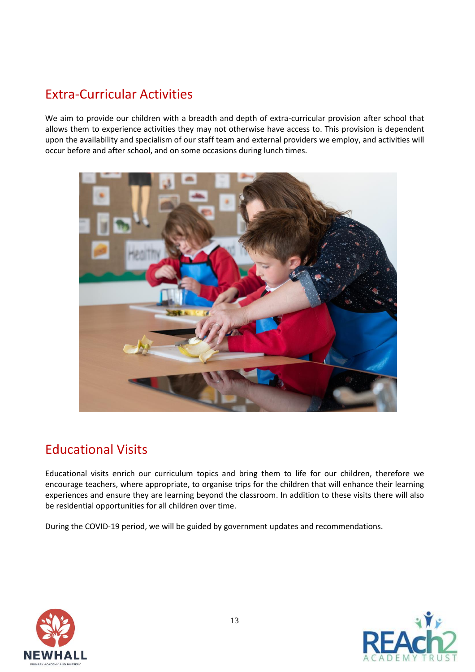## Extra-Curricular Activities

We aim to provide our children with a breadth and depth of extra-curricular provision after school that allows them to experience activities they may not otherwise have access to. This provision is dependent upon the availability and specialism of our staff team and external providers we employ, and activities will occur before and after school, and on some occasions during lunch times.



## Educational Visits

Educational visits enrich our curriculum topics and bring them to life for our children, therefore we encourage teachers, where appropriate, to organise trips for the children that will enhance their learning experiences and ensure they are learning beyond the classroom. In addition to these visits there will also be residential opportunities for all children over time.

During the COVID-19 period, we will be guided by government updates and recommendations.